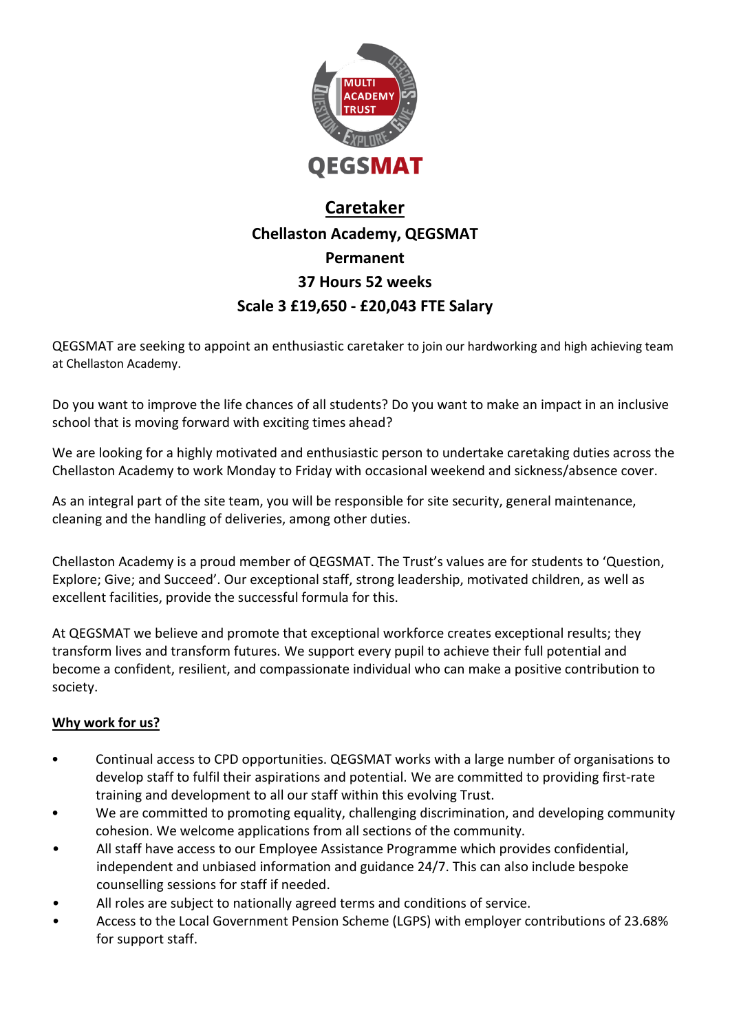

# **Caretaker Chellaston Academy, QEGSMAT Permanent 37 Hours 52 weeks Scale 3 £19,650 - £20,043 FTE Salary**

QEGSMAT are seeking to appoint an enthusiastic caretaker to join our hardworking and high achieving team at Chellaston Academy.

Do you want to improve the life chances of all students? Do you want to make an impact in an inclusive school that is moving forward with exciting times ahead?

We are looking for a highly motivated and enthusiastic person to undertake caretaking duties across the Chellaston Academy to work Monday to Friday with occasional weekend and sickness/absence cover.

As an integral part of the site team, you will be responsible for site security, general maintenance, cleaning and the handling of deliveries, among other duties.

Chellaston Academy is a proud member of QEGSMAT. The Trust's values are for students to 'Question, Explore; Give; and Succeed'. Our exceptional staff, strong leadership, motivated children, as well as excellent facilities, provide the successful formula for this.

At QEGSMAT we believe and promote that exceptional workforce creates exceptional results; they transform lives and transform futures. We support every pupil to achieve their full potential and become a confident, resilient, and compassionate individual who can make a positive contribution to society.

# **Why work for us?**

- Continual access to CPD opportunities. QEGSMAT works with a large number of organisations to develop staff to fulfil their aspirations and potential. We are committed to providing first-rate training and development to all our staff within this evolving Trust.
- We are committed to promoting equality, challenging discrimination, and developing community cohesion. We welcome applications from all sections of the community.
- All staff have access to our Employee Assistance Programme which provides confidential, independent and unbiased information and guidance 24/7. This can also include bespoke counselling sessions for staff if needed.
- All roles are subject to nationally agreed terms and conditions of service.
- Access to the Local Government Pension Scheme (LGPS) with employer contributions of 23.68% for support staff.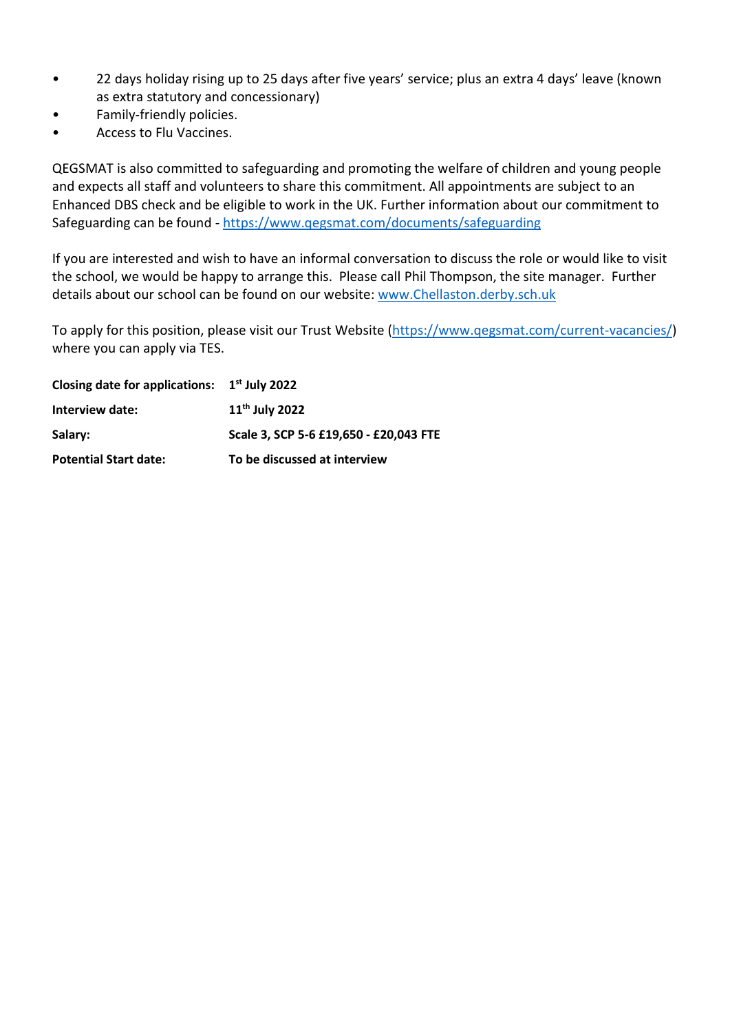- 22 days holiday rising up to 25 days after five years' service; plus an extra 4 days' leave (known as extra statutory and concessionary)
- Family-friendly policies.
- Access to Flu Vaccines.

QEGSMAT is also committed to safeguarding and promoting the welfare of children and young people and expects all staff and volunteers to share this commitment. All appointments are subject to an Enhanced DBS check and be eligible to work in the UK. Further information about our commitment to Safeguarding can be found - <https://www.qegsmat.com/documents/safeguarding>

If you are interested and wish to have an informal conversation to discuss the role or would like to visit the school, we would be happy to arrange this. Please call Phil Thompson, the site manager. Further details about our school can be found on our website: [www.Chellaston.derby.sch.uk](http://www.chellaston.derby.sch.uk/)

To apply for this position, please visit our Trust Website [\(https://www.qegsmat.com/current-vacancies/\)](https://www.qegsmat.com/current-vacancies/) where you can apply via TES.

| Closing date for applications: $1st$ July 2022 |                                        |  |
|------------------------------------------------|----------------------------------------|--|
| Interview date:                                | $11th$ July 2022                       |  |
| Salary:                                        | Scale 3. SCP 5-6 £19.650 - £20.043 FTE |  |
| <b>Potential Start date:</b>                   | To be discussed at interview           |  |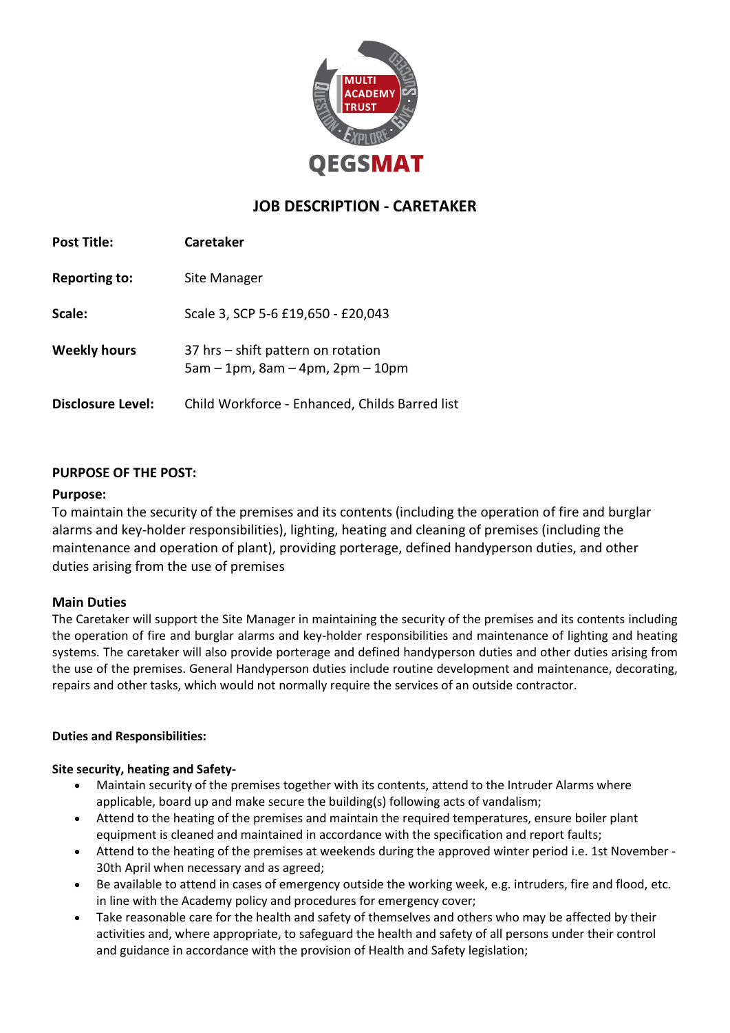

# **JOB DESCRIPTION - CARETAKER**

| <b>Post Title:</b>       | <b>Caretaker</b>                                                               |
|--------------------------|--------------------------------------------------------------------------------|
| <b>Reporting to:</b>     | Site Manager                                                                   |
| Scale:                   | Scale 3, SCP 5-6 £19,650 - £20,043                                             |
| <b>Weekly hours</b>      | 37 hrs – shift pattern on rotation<br>$5am - 1pm$ , $8am - 4pm$ , $2pm - 10pm$ |
| <b>Disclosure Level:</b> | Child Workforce - Enhanced, Childs Barred list                                 |

# **PURPOSE OF THE POST:**

## **Purpose:**

To maintain the security of the premises and its contents (including the operation of fire and burglar alarms and key-holder responsibilities), lighting, heating and cleaning of premises (including the maintenance and operation of plant), providing porterage, defined handyperson duties, and other duties arising from the use of premises

## **Main Duties**

The Caretaker will support the Site Manager in maintaining the security of the premises and its contents including the operation of fire and burglar alarms and key-holder responsibilities and maintenance of lighting and heating systems. The caretaker will also provide porterage and defined handyperson duties and other duties arising from the use of the premises. General Handyperson duties include routine development and maintenance, decorating, repairs and other tasks, which would not normally require the services of an outside contractor.

#### **Duties and Responsibilities:**

#### **Site security, heating and Safety-**

- Maintain security of the premises together with its contents, attend to the Intruder Alarms where applicable, board up and make secure the building(s) following acts of vandalism;
- Attend to the heating of the premises and maintain the required temperatures, ensure boiler plant equipment is cleaned and maintained in accordance with the specification and report faults;
- Attend to the heating of the premises at weekends during the approved winter period i.e. 1st November 30th April when necessary and as agreed;
- Be available to attend in cases of emergency outside the working week, e.g. intruders, fire and flood, etc. in line with the Academy policy and procedures for emergency cover;
- Take reasonable care for the health and safety of themselves and others who may be affected by their activities and, where appropriate, to safeguard the health and safety of all persons under their control and guidance in accordance with the provision of Health and Safety legislation;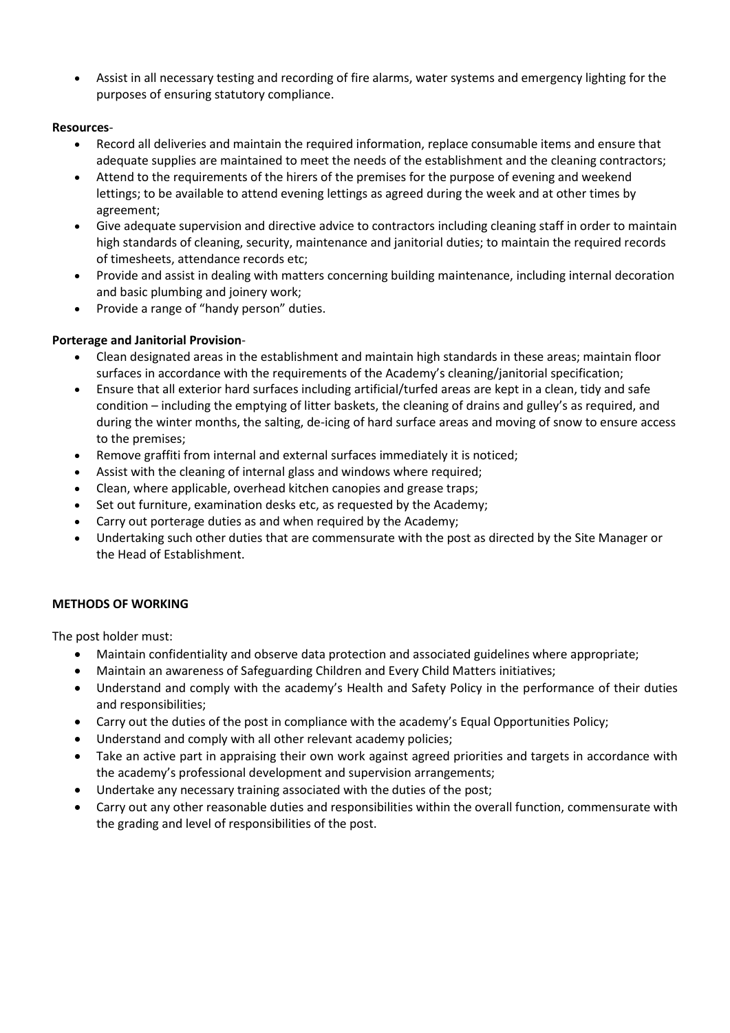• Assist in all necessary testing and recording of fire alarms, water systems and emergency lighting for the purposes of ensuring statutory compliance.

## **Resources**-

- Record all deliveries and maintain the required information, replace consumable items and ensure that adequate supplies are maintained to meet the needs of the establishment and the cleaning contractors;
- Attend to the requirements of the hirers of the premises for the purpose of evening and weekend lettings; to be available to attend evening lettings as agreed during the week and at other times by agreement;
- Give adequate supervision and directive advice to contractors including cleaning staff in order to maintain high standards of cleaning, security, maintenance and janitorial duties; to maintain the required records of timesheets, attendance records etc;
- Provide and assist in dealing with matters concerning building maintenance, including internal decoration and basic plumbing and joinery work;
- Provide a range of "handy person" duties.

# **Porterage and Janitorial Provision**-

- Clean designated areas in the establishment and maintain high standards in these areas; maintain floor surfaces in accordance with the requirements of the Academy's cleaning/janitorial specification;
- Ensure that all exterior hard surfaces including artificial/turfed areas are kept in a clean, tidy and safe condition – including the emptying of litter baskets, the cleaning of drains and gulley's as required, and during the winter months, the salting, de-icing of hard surface areas and moving of snow to ensure access to the premises;
- Remove graffiti from internal and external surfaces immediately it is noticed;
- Assist with the cleaning of internal glass and windows where required;
- Clean, where applicable, overhead kitchen canopies and grease traps;
- Set out furniture, examination desks etc, as requested by the Academy;
- Carry out porterage duties as and when required by the Academy;
- Undertaking such other duties that are commensurate with the post as directed by the Site Manager or the Head of Establishment.

## **METHODS OF WORKING**

The post holder must:

- Maintain confidentiality and observe data protection and associated guidelines where appropriate;
- Maintain an awareness of Safeguarding Children and Every Child Matters initiatives;
- Understand and comply with the academy's Health and Safety Policy in the performance of their duties and responsibilities;
- Carry out the duties of the post in compliance with the academy's Equal Opportunities Policy;
- Understand and comply with all other relevant academy policies;
- Take an active part in appraising their own work against agreed priorities and targets in accordance with the academy's professional development and supervision arrangements;
- Undertake any necessary training associated with the duties of the post;
- Carry out any other reasonable duties and responsibilities within the overall function, commensurate with the grading and level of responsibilities of the post.